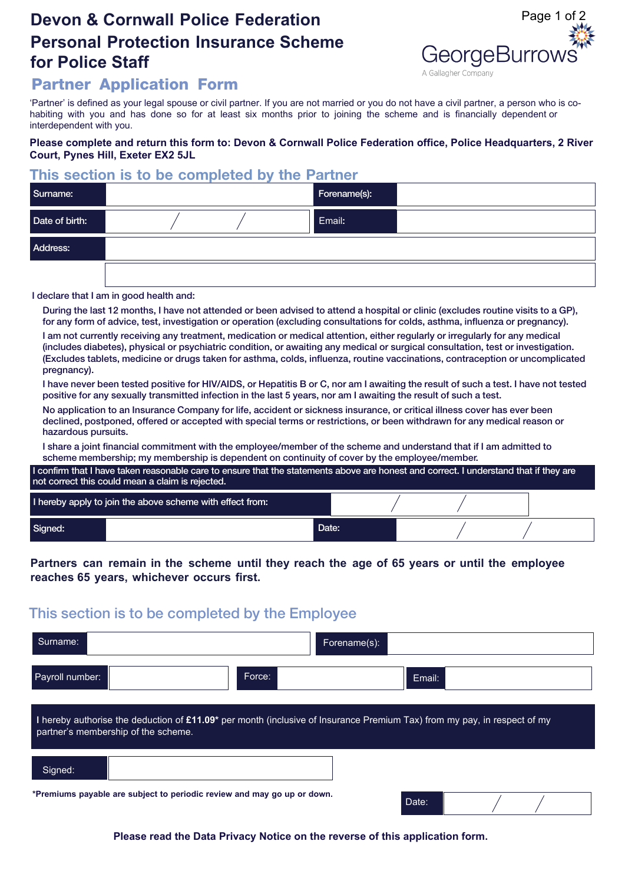# **Devon & Cornwall Police Federation Personal Protection Insurance Scheme for Police Staff**



## **Partner Application Form**

'Partner' is defined as your legal spouse or civil partner. If you are not married or you do not have a civil partner, a person who is cohabiting with you and has done so for at least six months prior to joining the scheme and is financially dependent or interdependent with you.

#### **Please complete and return this form to: Devon & Cornwall Police Federation office, Police Headquarters, 2 River Court, Pynes Hill, Exeter EX2 5JL**

## **This section is to be completed by the Partner**

| Surname:       | Forename(s): |  |
|----------------|--------------|--|
| Date of birth: | Email:       |  |
| Address:       |              |  |
|                |              |  |

#### I declare that I am in good health and:

During the last 12 months. I have not attended or been advised to attend a hospital or clinic (excludes routine visits to a GP). for any form of advice, test, investigation or operation (excluding consultations for colds, asthma, influenza or pregnancy).

2. I am not currently receiving any treatment, medication or medical attention, either regularly or irregularly for any medical (includes diabetes), physical or psychiatric condition, or awaiting any medical or surgical consultation, test or investigation. (Excludes tablets, medicine or drugs taken for asthma, colds, influenza, routine vaccinations, contraception or uncomplicated pregnancy).

3. I have never been tested positive for HIV/AIDS, or Hepatitis B or C, nor am I awaiting the result of such a test. I have not tested positive for any sexually transmitted infection in the last 5 years, nor am I awaiting the result of such a test.

No application to an Insurance Company for life, accident or sickness insurance, or critical illness cover has ever been declined, postponed, offered or accepted with special terms or restrictions, or been withdrawn for any medical reason or hazardous pursuits.

I share a joint financial commitment with the employee/member of the scheme and understand that if I am admitted to scheme membership; my membership is dependent on continuity of cover by the employee/member.

I confirm that I have taken reasonable care to ensure that the statements above are honest and correct. I understand that if they are not correct this could mean a claim is rejected.

| I hereby apply to join the above scheme with effect from: |  |       |  |  |
|-----------------------------------------------------------|--|-------|--|--|
| Signed:                                                   |  | Date: |  |  |

#### **Partners can remain in the scheme until they reach the age of 65 years or until the employee reaches 65 years, whichever occurs first.**

## This section is to be completed by the Employee

| Surname:                                                                                                                                                        |        | Forename(s): |  |  |  |  |  |  |
|-----------------------------------------------------------------------------------------------------------------------------------------------------------------|--------|--------------|--|--|--|--|--|--|
| Payroll number:                                                                                                                                                 | Force: | Email:       |  |  |  |  |  |  |
| I hereby authorise the deduction of £11.09* per month (inclusive of Insurance Premium Tax) from my pay, in respect of my<br>partner's membership of the scheme. |        |              |  |  |  |  |  |  |
| Signed:                                                                                                                                                         |        |              |  |  |  |  |  |  |
| *Premiums payable are subject to periodic review and may go up or down.                                                                                         |        | Date:        |  |  |  |  |  |  |

**Please read the Data Privacy Notice on the reverse of this application form.**